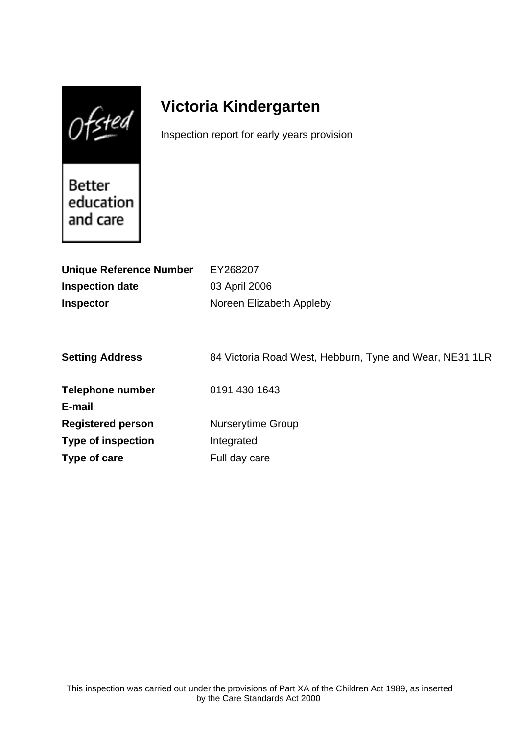$Of$ sted

# **Victoria Kindergarten**

Inspection report for early years provision

Better education and care

| <b>Unique Reference Number</b> | EY268207                                                |
|--------------------------------|---------------------------------------------------------|
| <b>Inspection date</b>         | 03 April 2006                                           |
| <b>Inspector</b>               | Noreen Elizabeth Appleby                                |
|                                |                                                         |
|                                |                                                         |
| <b>Setting Address</b>         | 84 Victoria Road West, Hebburn, Tyne and Wear, NE31 1LR |
| <b>Telephone number</b>        | 0191 430 1643                                           |
| E-mail                         |                                                         |
| <b>Registered person</b>       | <b>Nurserytime Group</b>                                |
| <b>Type of inspection</b>      | Integrated                                              |
| Type of care                   | Full day care                                           |
|                                |                                                         |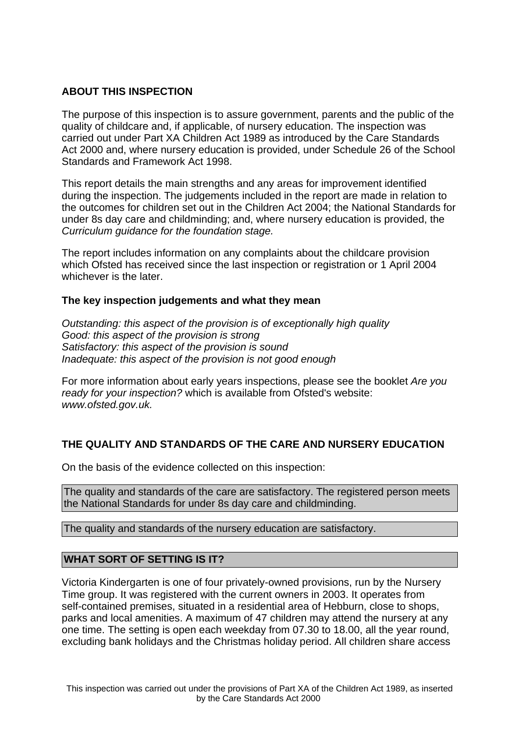# **ABOUT THIS INSPECTION**

The purpose of this inspection is to assure government, parents and the public of the quality of childcare and, if applicable, of nursery education. The inspection was carried out under Part XA Children Act 1989 as introduced by the Care Standards Act 2000 and, where nursery education is provided, under Schedule 26 of the School Standards and Framework Act 1998.

This report details the main strengths and any areas for improvement identified during the inspection. The judgements included in the report are made in relation to the outcomes for children set out in the Children Act 2004; the National Standards for under 8s day care and childminding; and, where nursery education is provided, the Curriculum guidance for the foundation stage.

The report includes information on any complaints about the childcare provision which Ofsted has received since the last inspection or registration or 1 April 2004 whichever is the later.

# **The key inspection judgements and what they mean**

Outstanding: this aspect of the provision is of exceptionally high quality Good: this aspect of the provision is strong Satisfactory: this aspect of the provision is sound Inadequate: this aspect of the provision is not good enough

For more information about early years inspections, please see the booklet Are you ready for your inspection? which is available from Ofsted's website: www.ofsted.gov.uk.

# **THE QUALITY AND STANDARDS OF THE CARE AND NURSERY EDUCATION**

On the basis of the evidence collected on this inspection:

The quality and standards of the care are satisfactory. The registered person meets the National Standards for under 8s day care and childminding.

The quality and standards of the nursery education are satisfactory.

# **WHAT SORT OF SETTING IS IT?**

Victoria Kindergarten is one of four privately-owned provisions, run by the Nursery Time group. It was registered with the current owners in 2003. It operates from self-contained premises, situated in a residential area of Hebburn, close to shops, parks and local amenities. A maximum of 47 children may attend the nursery at any one time. The setting is open each weekday from 07.30 to 18.00, all the year round, excluding bank holidays and the Christmas holiday period. All children share access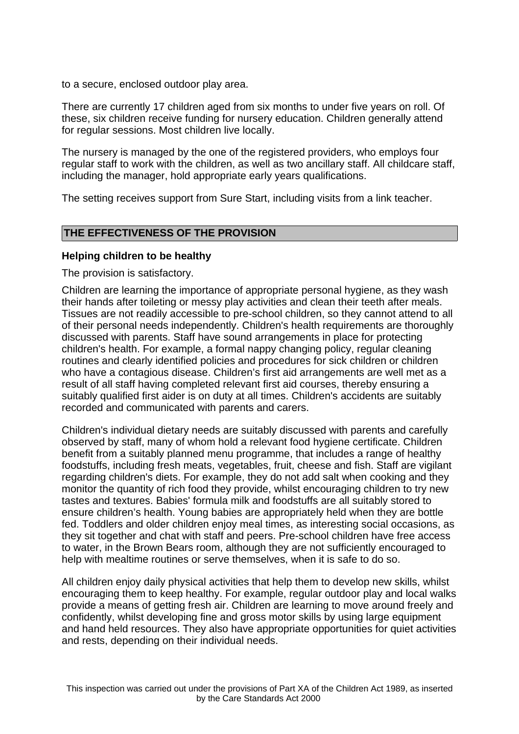to a secure, enclosed outdoor play area.

There are currently 17 children aged from six months to under five years on roll. Of these, six children receive funding for nursery education. Children generally attend for regular sessions. Most children live locally.

The nursery is managed by the one of the registered providers, who employs four regular staff to work with the children, as well as two ancillary staff. All childcare staff, including the manager, hold appropriate early years qualifications.

The setting receives support from Sure Start, including visits from a link teacher.

# **THE EFFECTIVENESS OF THE PROVISION**

#### **Helping children to be healthy**

The provision is satisfactory.

Children are learning the importance of appropriate personal hygiene, as they wash their hands after toileting or messy play activities and clean their teeth after meals. Tissues are not readily accessible to pre-school children, so they cannot attend to all of their personal needs independently. Children's health requirements are thoroughly discussed with parents. Staff have sound arrangements in place for protecting children's health. For example, a formal nappy changing policy, regular cleaning routines and clearly identified policies and procedures for sick children or children who have a contagious disease. Children's first aid arrangements are well met as a result of all staff having completed relevant first aid courses, thereby ensuring a suitably qualified first aider is on duty at all times. Children's accidents are suitably recorded and communicated with parents and carers.

Children's individual dietary needs are suitably discussed with parents and carefully observed by staff, many of whom hold a relevant food hygiene certificate. Children benefit from a suitably planned menu programme, that includes a range of healthy foodstuffs, including fresh meats, vegetables, fruit, cheese and fish. Staff are vigilant regarding children's diets. For example, they do not add salt when cooking and they monitor the quantity of rich food they provide, whilst encouraging children to try new tastes and textures. Babies' formula milk and foodstuffs are all suitably stored to ensure children's health. Young babies are appropriately held when they are bottle fed. Toddlers and older children enjoy meal times, as interesting social occasions, as they sit together and chat with staff and peers. Pre-school children have free access to water, in the Brown Bears room, although they are not sufficiently encouraged to help with mealtime routines or serve themselves, when it is safe to do so.

All children enjoy daily physical activities that help them to develop new skills, whilst encouraging them to keep healthy. For example, regular outdoor play and local walks provide a means of getting fresh air. Children are learning to move around freely and confidently, whilst developing fine and gross motor skills by using large equipment and hand held resources. They also have appropriate opportunities for quiet activities and rests, depending on their individual needs.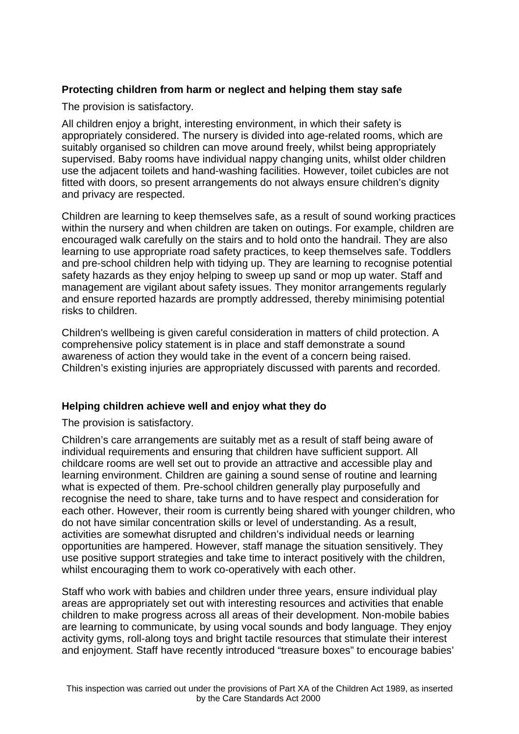# **Protecting children from harm or neglect and helping them stay safe**

The provision is satisfactory.

All children enjoy a bright, interesting environment, in which their safety is appropriately considered. The nursery is divided into age-related rooms, which are suitably organised so children can move around freely, whilst being appropriately supervised. Baby rooms have individual nappy changing units, whilst older children use the adjacent toilets and hand-washing facilities. However, toilet cubicles are not fitted with doors, so present arrangements do not always ensure children's dignity and privacy are respected.

Children are learning to keep themselves safe, as a result of sound working practices within the nursery and when children are taken on outings. For example, children are encouraged walk carefully on the stairs and to hold onto the handrail. They are also learning to use appropriate road safety practices, to keep themselves safe. Toddlers and pre-school children help with tidying up. They are learning to recognise potential safety hazards as they enjoy helping to sweep up sand or mop up water. Staff and management are vigilant about safety issues. They monitor arrangements regularly and ensure reported hazards are promptly addressed, thereby minimising potential risks to children.

Children's wellbeing is given careful consideration in matters of child protection. A comprehensive policy statement is in place and staff demonstrate a sound awareness of action they would take in the event of a concern being raised. Children's existing injuries are appropriately discussed with parents and recorded.

# **Helping children achieve well and enjoy what they do**

The provision is satisfactory.

Children's care arrangements are suitably met as a result of staff being aware of individual requirements and ensuring that children have sufficient support. All childcare rooms are well set out to provide an attractive and accessible play and learning environment. Children are gaining a sound sense of routine and learning what is expected of them. Pre-school children generally play purposefully and recognise the need to share, take turns and to have respect and consideration for each other. However, their room is currently being shared with younger children, who do not have similar concentration skills or level of understanding. As a result, activities are somewhat disrupted and children's individual needs or learning opportunities are hampered. However, staff manage the situation sensitively. They use positive support strategies and take time to interact positively with the children, whilst encouraging them to work co-operatively with each other.

Staff who work with babies and children under three years, ensure individual play areas are appropriately set out with interesting resources and activities that enable children to make progress across all areas of their development. Non-mobile babies are learning to communicate, by using vocal sounds and body language. They enjoy activity gyms, roll-along toys and bright tactile resources that stimulate their interest and enjoyment. Staff have recently introduced "treasure boxes" to encourage babies'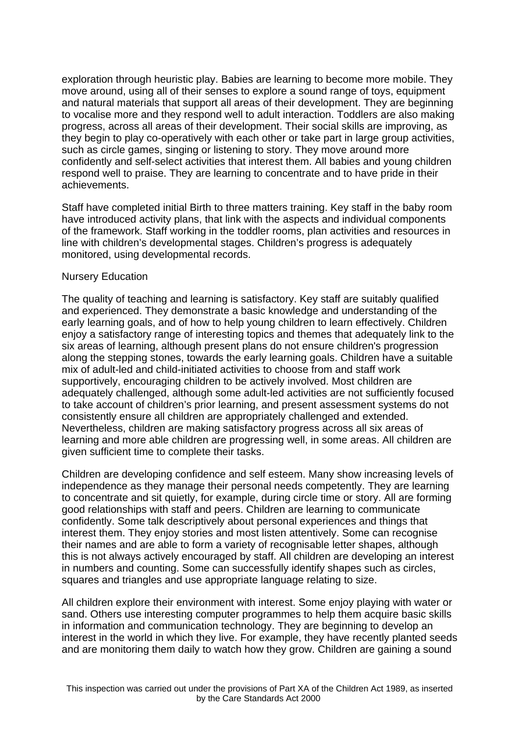exploration through heuristic play. Babies are learning to become more mobile. They move around, using all of their senses to explore a sound range of toys, equipment and natural materials that support all areas of their development. They are beginning to vocalise more and they respond well to adult interaction. Toddlers are also making progress, across all areas of their development. Their social skills are improving, as they begin to play co-operatively with each other or take part in large group activities, such as circle games, singing or listening to story. They move around more confidently and self-select activities that interest them. All babies and young children respond well to praise. They are learning to concentrate and to have pride in their achievements.

Staff have completed initial Birth to three matters training. Key staff in the baby room have introduced activity plans, that link with the aspects and individual components of the framework. Staff working in the toddler rooms, plan activities and resources in line with children's developmental stages. Children's progress is adequately monitored, using developmental records.

#### Nursery Education

The quality of teaching and learning is satisfactory. Key staff are suitably qualified and experienced. They demonstrate a basic knowledge and understanding of the early learning goals, and of how to help young children to learn effectively. Children enjoy a satisfactory range of interesting topics and themes that adequately link to the six areas of learning, although present plans do not ensure children's progression along the stepping stones, towards the early learning goals. Children have a suitable mix of adult-led and child-initiated activities to choose from and staff work supportively, encouraging children to be actively involved. Most children are adequately challenged, although some adult-led activities are not sufficiently focused to take account of children's prior learning, and present assessment systems do not consistently ensure all children are appropriately challenged and extended. Nevertheless, children are making satisfactory progress across all six areas of learning and more able children are progressing well, in some areas. All children are given sufficient time to complete their tasks.

Children are developing confidence and self esteem. Many show increasing levels of independence as they manage their personal needs competently. They are learning to concentrate and sit quietly, for example, during circle time or story. All are forming good relationships with staff and peers. Children are learning to communicate confidently. Some talk descriptively about personal experiences and things that interest them. They enjoy stories and most listen attentively. Some can recognise their names and are able to form a variety of recognisable letter shapes, although this is not always actively encouraged by staff. All children are developing an interest in numbers and counting. Some can successfully identify shapes such as circles, squares and triangles and use appropriate language relating to size.

All children explore their environment with interest. Some enjoy playing with water or sand. Others use interesting computer programmes to help them acquire basic skills in information and communication technology. They are beginning to develop an interest in the world in which they live. For example, they have recently planted seeds and are monitoring them daily to watch how they grow. Children are gaining a sound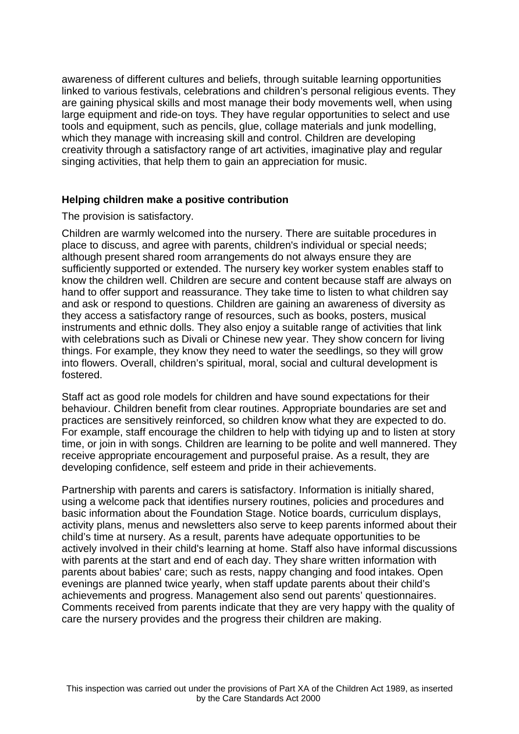awareness of different cultures and beliefs, through suitable learning opportunities linked to various festivals, celebrations and children's personal religious events. They are gaining physical skills and most manage their body movements well, when using large equipment and ride-on toys. They have regular opportunities to select and use tools and equipment, such as pencils, glue, collage materials and junk modelling, which they manage with increasing skill and control. Children are developing creativity through a satisfactory range of art activities, imaginative play and regular singing activities, that help them to gain an appreciation for music.

#### **Helping children make a positive contribution**

The provision is satisfactory.

Children are warmly welcomed into the nursery. There are suitable procedures in place to discuss, and agree with parents, children's individual or special needs; although present shared room arrangements do not always ensure they are sufficiently supported or extended. The nursery key worker system enables staff to know the children well. Children are secure and content because staff are always on hand to offer support and reassurance. They take time to listen to what children say and ask or respond to questions. Children are gaining an awareness of diversity as they access a satisfactory range of resources, such as books, posters, musical instruments and ethnic dolls. They also enjoy a suitable range of activities that link with celebrations such as Divali or Chinese new year. They show concern for living things. For example, they know they need to water the seedlings, so they will grow into flowers. Overall, children's spiritual, moral, social and cultural development is fostered.

Staff act as good role models for children and have sound expectations for their behaviour. Children benefit from clear routines. Appropriate boundaries are set and practices are sensitively reinforced, so children know what they are expected to do. For example, staff encourage the children to help with tidying up and to listen at story time, or join in with songs. Children are learning to be polite and well mannered. They receive appropriate encouragement and purposeful praise. As a result, they are developing confidence, self esteem and pride in their achievements.

Partnership with parents and carers is satisfactory. Information is initially shared, using a welcome pack that identifies nursery routines, policies and procedures and basic information about the Foundation Stage. Notice boards, curriculum displays, activity plans, menus and newsletters also serve to keep parents informed about their child's time at nursery. As a result, parents have adequate opportunities to be actively involved in their child's learning at home. Staff also have informal discussions with parents at the start and end of each day. They share written information with parents about babies' care; such as rests, nappy changing and food intakes. Open evenings are planned twice yearly, when staff update parents about their child's achievements and progress. Management also send out parents' questionnaires. Comments received from parents indicate that they are very happy with the quality of care the nursery provides and the progress their children are making.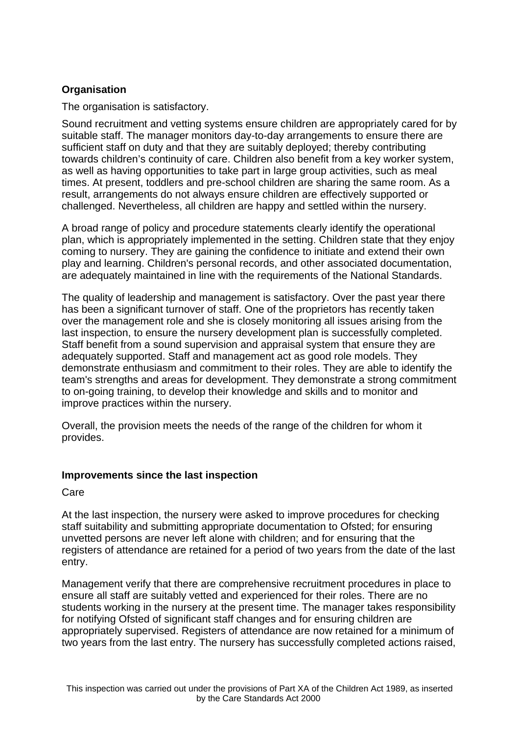# **Organisation**

The organisation is satisfactory.

Sound recruitment and vetting systems ensure children are appropriately cared for by suitable staff. The manager monitors day-to-day arrangements to ensure there are sufficient staff on duty and that they are suitably deployed; thereby contributing towards children's continuity of care. Children also benefit from a key worker system, as well as having opportunities to take part in large group activities, such as meal times. At present, toddlers and pre-school children are sharing the same room. As a result, arrangements do not always ensure children are effectively supported or challenged. Nevertheless, all children are happy and settled within the nursery.

A broad range of policy and procedure statements clearly identify the operational plan, which is appropriately implemented in the setting. Children state that they enjoy coming to nursery. They are gaining the confidence to initiate and extend their own play and learning. Children's personal records, and other associated documentation, are adequately maintained in line with the requirements of the National Standards.

The quality of leadership and management is satisfactory. Over the past year there has been a significant turnover of staff. One of the proprietors has recently taken over the management role and she is closely monitoring all issues arising from the last inspection, to ensure the nursery development plan is successfully completed. Staff benefit from a sound supervision and appraisal system that ensure they are adequately supported. Staff and management act as good role models. They demonstrate enthusiasm and commitment to their roles. They are able to identify the team's strengths and areas for development. They demonstrate a strong commitment to on-going training, to develop their knowledge and skills and to monitor and improve practices within the nursery.

Overall, the provision meets the needs of the range of the children for whom it provides.

# **Improvements since the last inspection**

Care

At the last inspection, the nursery were asked to improve procedures for checking staff suitability and submitting appropriate documentation to Ofsted; for ensuring unvetted persons are never left alone with children; and for ensuring that the registers of attendance are retained for a period of two years from the date of the last entry.

Management verify that there are comprehensive recruitment procedures in place to ensure all staff are suitably vetted and experienced for their roles. There are no students working in the nursery at the present time. The manager takes responsibility for notifying Ofsted of significant staff changes and for ensuring children are appropriately supervised. Registers of attendance are now retained for a minimum of two years from the last entry. The nursery has successfully completed actions raised,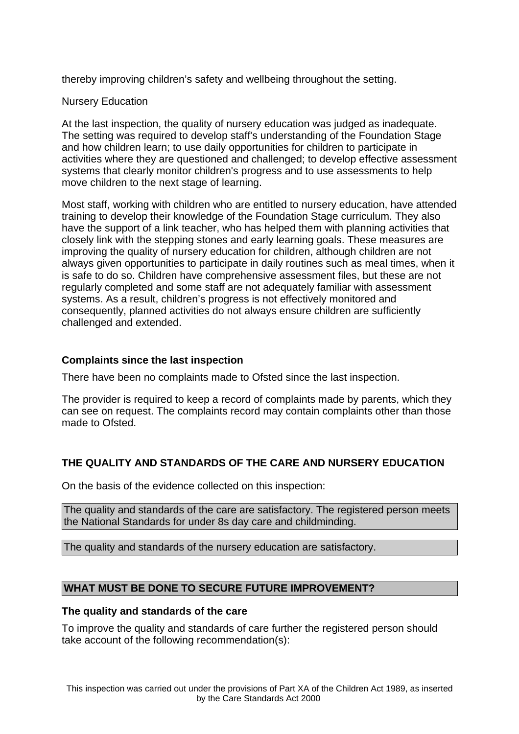thereby improving children's safety and wellbeing throughout the setting.

# Nursery Education

At the last inspection, the quality of nursery education was judged as inadequate. The setting was required to develop staff's understanding of the Foundation Stage and how children learn; to use daily opportunities for children to participate in activities where they are questioned and challenged; to develop effective assessment systems that clearly monitor children's progress and to use assessments to help move children to the next stage of learning.

Most staff, working with children who are entitled to nursery education, have attended training to develop their knowledge of the Foundation Stage curriculum. They also have the support of a link teacher, who has helped them with planning activities that closely link with the stepping stones and early learning goals. These measures are improving the quality of nursery education for children, although children are not always given opportunities to participate in daily routines such as meal times, when it is safe to do so. Children have comprehensive assessment files, but these are not regularly completed and some staff are not adequately familiar with assessment systems. As a result, children's progress is not effectively monitored and consequently, planned activities do not always ensure children are sufficiently challenged and extended.

# **Complaints since the last inspection**

There have been no complaints made to Ofsted since the last inspection.

The provider is required to keep a record of complaints made by parents, which they can see on request. The complaints record may contain complaints other than those made to Ofsted.

# **THE QUALITY AND STANDARDS OF THE CARE AND NURSERY EDUCATION**

On the basis of the evidence collected on this inspection:

The quality and standards of the care are satisfactory. The registered person meets the National Standards for under 8s day care and childminding.

The quality and standards of the nursery education are satisfactory.

# **WHAT MUST BE DONE TO SECURE FUTURE IMPROVEMENT?**

# **The quality and standards of the care**

To improve the quality and standards of care further the registered person should take account of the following recommendation(s):